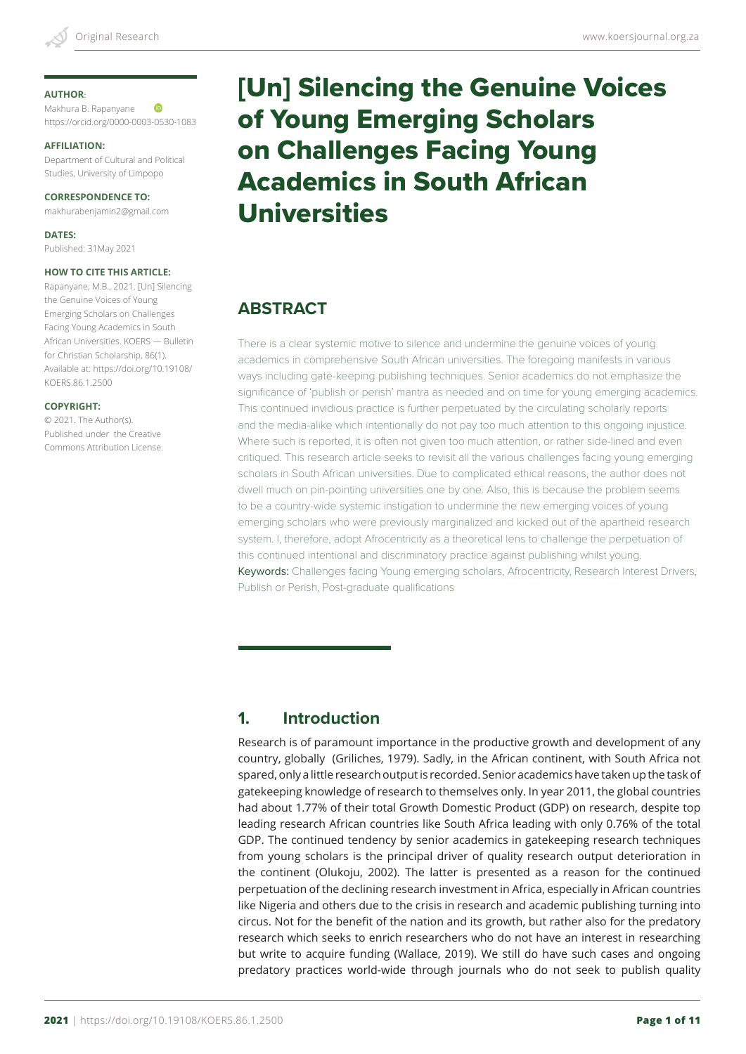### **AUTHOR**:

Makhura B. Rapanyane **ID** https://orcid.org/0000-0003-0530-1083

#### **AFFILIATION:**

Department of Cultural and Political Studies, University of Limpopo

### **CORRESPONDENCE TO:**

makhurabenjamin2@gmail.com

**DATES:** Published: 31May 2021

#### **HOW TO CITE THIS ARTICLE:**

Rapanyane, M.B., 2021. [Un] Silencing the Genuine Voices of Young Emerging Scholars on Challenges Facing Young Academics in South African Universities. KOERS — Bulletin for Christian Scholarship, 86(1). Available at: https://doi.org/10.19108/ KOERS.86.1.2500

#### **COPYRIGHT:**

© 2021. The Author(s). Published under the Creative Commons Attribution License.

# [Un] Silencing the Genuine Voices of Young Emerging Scholars on Challenges Facing Young Academics in South African Universities

## **ABSTRACT**

There is a clear systemic motive to silence and undermine the genuine voices of young academics in comprehensive South African universities. The foregoing manifests in various ways including gate-keeping publishing techniques. Senior academics do not emphasize the significance of 'publish or perish' mantra as needed and on time for young emerging academics. This continued invidious practice is further perpetuated by the circulating scholarly reports and the media-alike which intentionally do not pay too much attention to this ongoing injustice. Where such is reported, it is often not given too much attention, or rather side-lined and even critiqued. This research article seeks to revisit all the various challenges facing young emerging scholars in South African universities. Due to complicated ethical reasons, the author does not dwell much on pin-pointing universities one by one. Also, this is because the problem seems to be a country-wide systemic instigation to undermine the new emerging voices of young emerging scholars who were previously marginalized and kicked out of the apartheid research system. I, therefore, adopt Afrocentricity as a theoretical lens to challenge the perpetuation of this continued intentional and discriminatory practice against publishing whilst young. Keywords: Challenges facing Young emerging scholars, Afrocentricity, Research Interest Drivers, Publish or Perish, Post-graduate qualifications

## **1. Introduction**

Research is of paramount importance in the productive growth and development of any country, globally (Griliches, 1979). Sadly, in the African continent, with South Africa not spared, only a little research output is recorded. Senior academics have taken up the task of gatekeeping knowledge of research to themselves only. In year 2011, the global countries had about 1.77% of their total Growth Domestic Product (GDP) on research, despite top leading research African countries like South Africa leading with only 0.76% of the total GDP. The continued tendency by senior academics in gatekeeping research techniques from young scholars is the principal driver of quality research output deterioration in the continent (Olukoju, 2002). The latter is presented as a reason for the continued perpetuation of the declining research investment in Africa, especially in African countries like Nigeria and others due to the crisis in research and academic publishing turning into circus. Not for the benefit of the nation and its growth, but rather also for the predatory research which seeks to enrich researchers who do not have an interest in researching but write to acquire funding (Wallace, 2019). We still do have such cases and ongoing predatory practices world-wide through journals who do not seek to publish quality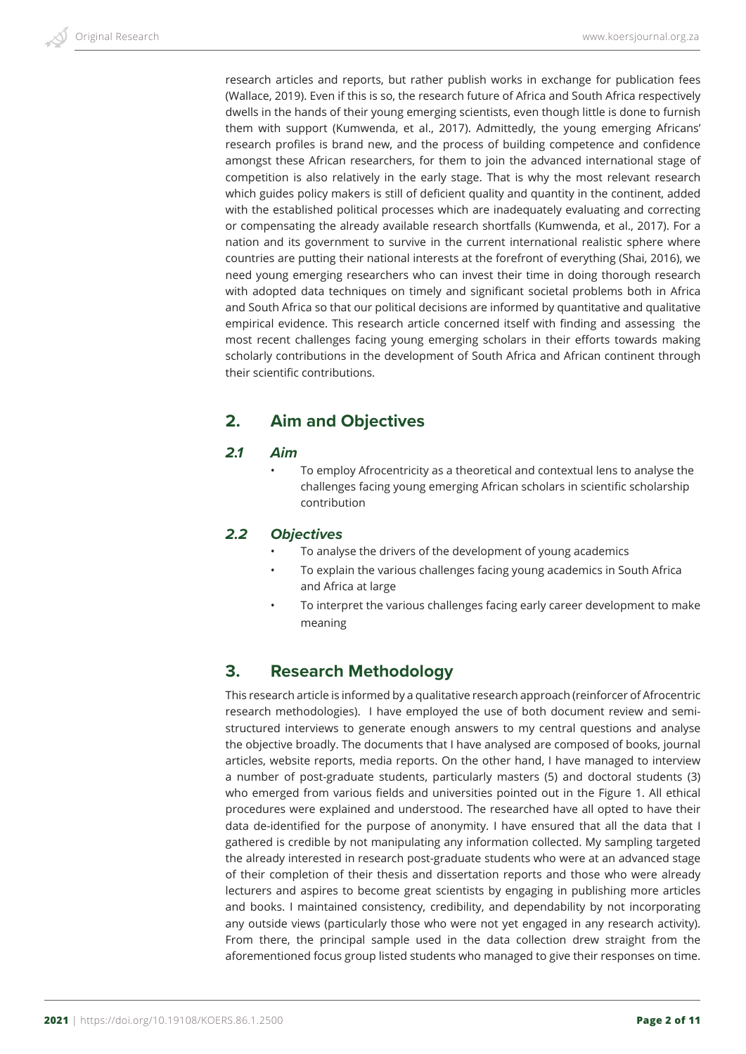research articles and reports, but rather publish works in exchange for publication fees (Wallace, 2019). Even if this is so, the research future of Africa and South Africa respectively dwells in the hands of their young emerging scientists, even though little is done to furnish them with support (Kumwenda, et al., 2017). Admittedly, the young emerging Africans' research profiles is brand new, and the process of building competence and confidence amongst these African researchers, for them to join the advanced international stage of competition is also relatively in the early stage. That is why the most relevant research which guides policy makers is still of deficient quality and quantity in the continent, added with the established political processes which are inadequately evaluating and correcting or compensating the already available research shortfalls (Kumwenda, et al., 2017). For a nation and its government to survive in the current international realistic sphere where countries are putting their national interests at the forefront of everything (Shai, 2016), we need young emerging researchers who can invest their time in doing thorough research with adopted data techniques on timely and significant societal problems both in Africa and South Africa so that our political decisions are informed by quantitative and qualitative empirical evidence. This research article concerned itself with finding and assessing the most recent challenges facing young emerging scholars in their efforts towards making scholarly contributions in the development of South Africa and African continent through their scientific contributions.

# **2. Aim and Objectives**

## *2.1 Aim*

• To employ Afrocentricity as a theoretical and contextual lens to analyse the challenges facing young emerging African scholars in scientific scholarship contribution

## *2.2 Objectives*

- To analyse the drivers of the development of young academics
- To explain the various challenges facing young academics in South Africa and Africa at large
- To interpret the various challenges facing early career development to make meaning

# **3. Research Methodology**

This research article is informed by a qualitative research approach (reinforcer of Afrocentric research methodologies). I have employed the use of both document review and semistructured interviews to generate enough answers to my central questions and analyse the objective broadly. The documents that I have analysed are composed of books, journal articles, website reports, media reports. On the other hand, I have managed to interview a number of post-graduate students, particularly masters (5) and doctoral students (3) who emerged from various fields and universities pointed out in the Figure 1. All ethical procedures were explained and understood. The researched have all opted to have their data de-identified for the purpose of anonymity. I have ensured that all the data that I gathered is credible by not manipulating any information collected. My sampling targeted the already interested in research post-graduate students who were at an advanced stage of their completion of their thesis and dissertation reports and those who were already lecturers and aspires to become great scientists by engaging in publishing more articles and books. I maintained consistency, credibility, and dependability by not incorporating any outside views (particularly those who were not yet engaged in any research activity). From there, the principal sample used in the data collection drew straight from the aforementioned focus group listed students who managed to give their responses on time.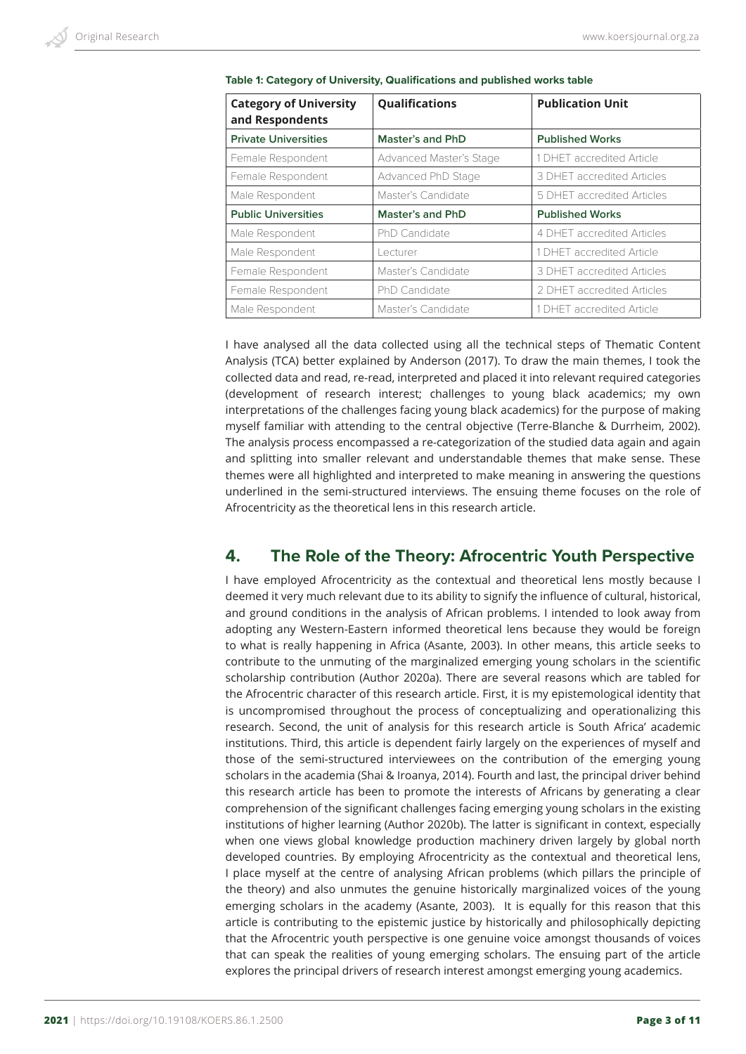| <b>Category of University</b><br>and Respondents | Qualifications          | <b>Publication Unit</b>    |
|--------------------------------------------------|-------------------------|----------------------------|
| <b>Private Universities</b>                      | Master's and PhD        | <b>Published Works</b>     |
| Female Respondent                                | Advanced Master's Stage | 1 DHET accredited Article  |
| Female Respondent                                | Advanced PhD Stage      | 3 DHET accredited Articles |
| Male Respondent                                  | Master's Candidate      | 5 DHET accredited Articles |
|                                                  |                         |                            |
| <b>Public Universities</b>                       | <b>Master's and PhD</b> | <b>Published Works</b>     |
| Male Respondent                                  | PhD Candidate           | 4 DHET accredited Articles |
| Male Respondent                                  | Lecturer                | 1 DHET accredited Article  |
| Female Respondent                                | Master's Candidate      | 3 DHET accredited Articles |
| Female Respondent                                | PhD Candidate           | 2 DHET accredited Articles |

I have analysed all the data collected using all the technical steps of Thematic Content Analysis (TCA) better explained by Anderson (2017). To draw the main themes, I took the collected data and read, re-read, interpreted and placed it into relevant required categories (development of research interest; challenges to young black academics; my own interpretations of the challenges facing young black academics) for the purpose of making myself familiar with attending to the central objective (Terre-Blanche & Durrheim, 2002). The analysis process encompassed a re-categorization of the studied data again and again and splitting into smaller relevant and understandable themes that make sense. These themes were all highlighted and interpreted to make meaning in answering the questions underlined in the semi-structured interviews. The ensuing theme focuses on the role of Afrocentricity as the theoretical lens in this research article.

## **4. The Role of the Theory: Afrocentric Youth Perspective**

I have employed Afrocentricity as the contextual and theoretical lens mostly because I deemed it very much relevant due to its ability to signify the influence of cultural, historical, and ground conditions in the analysis of African problems. I intended to look away from adopting any Western-Eastern informed theoretical lens because they would be foreign to what is really happening in Africa (Asante, 2003). In other means, this article seeks to contribute to the unmuting of the marginalized emerging young scholars in the scientific scholarship contribution (Author 2020a). There are several reasons which are tabled for the Afrocentric character of this research article. First, it is my epistemological identity that is uncompromised throughout the process of conceptualizing and operationalizing this research. Second, the unit of analysis for this research article is South Africa' academic institutions. Third, this article is dependent fairly largely on the experiences of myself and those of the semi-structured interviewees on the contribution of the emerging young scholars in the academia (Shai & Iroanya, 2014). Fourth and last, the principal driver behind this research article has been to promote the interests of Africans by generating a clear comprehension of the significant challenges facing emerging young scholars in the existing institutions of higher learning (Author 2020b). The latter is significant in context, especially when one views global knowledge production machinery driven largely by global north developed countries. By employing Afrocentricity as the contextual and theoretical lens, I place myself at the centre of analysing African problems (which pillars the principle of the theory) and also unmutes the genuine historically marginalized voices of the young emerging scholars in the academy (Asante, 2003). It is equally for this reason that this article is contributing to the epistemic justice by historically and philosophically depicting that the Afrocentric youth perspective is one genuine voice amongst thousands of voices that can speak the realities of young emerging scholars. The ensuing part of the article explores the principal drivers of research interest amongst emerging young academics.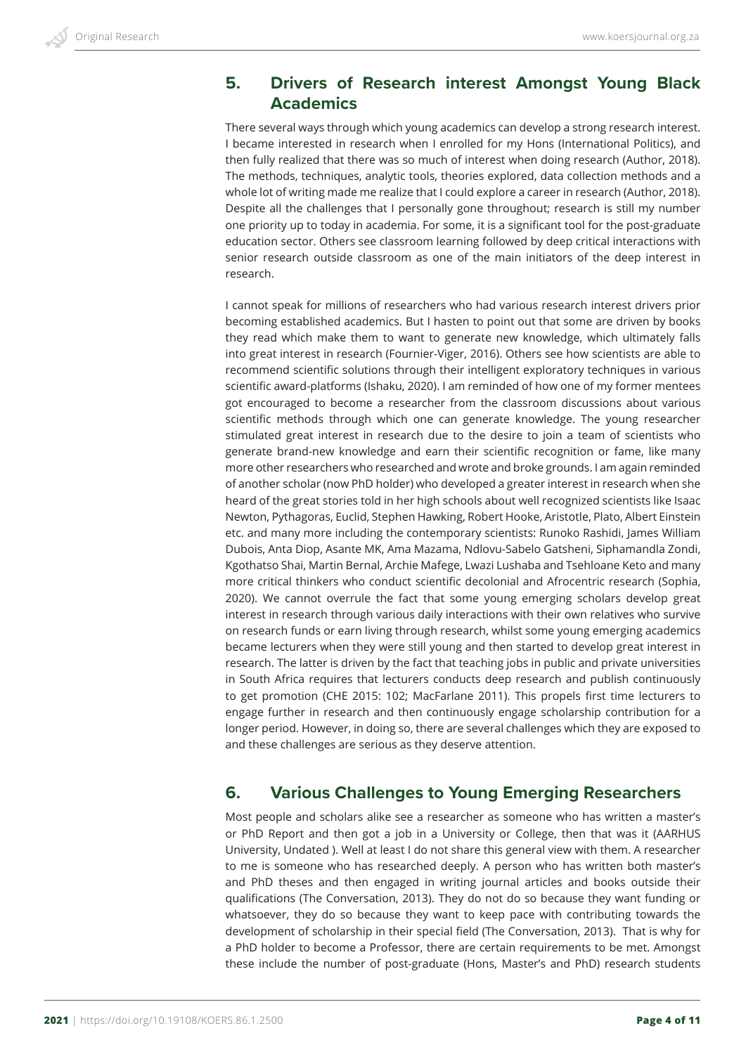## **5. Drivers of Research interest Amongst Young Black Academics**

There several ways through which young academics can develop a strong research interest. I became interested in research when I enrolled for my Hons (International Politics), and then fully realized that there was so much of interest when doing research (Author, 2018). The methods, techniques, analytic tools, theories explored, data collection methods and a whole lot of writing made me realize that I could explore a career in research (Author, 2018). Despite all the challenges that I personally gone throughout; research is still my number one priority up to today in academia. For some, it is a significant tool for the post-graduate education sector. Others see classroom learning followed by deep critical interactions with senior research outside classroom as one of the main initiators of the deep interest in research.

I cannot speak for millions of researchers who had various research interest drivers prior becoming established academics. But I hasten to point out that some are driven by books they read which make them to want to generate new knowledge, which ultimately falls into great interest in research (Fournier-Viger, 2016). Others see how scientists are able to recommend scientific solutions through their intelligent exploratory techniques in various scientific award-platforms (Ishaku, 2020). I am reminded of how one of my former mentees got encouraged to become a researcher from the classroom discussions about various scientific methods through which one can generate knowledge. The young researcher stimulated great interest in research due to the desire to join a team of scientists who generate brand-new knowledge and earn their scientific recognition or fame, like many more other researchers who researched and wrote and broke grounds. I am again reminded of another scholar (now PhD holder) who developed a greater interest in research when she heard of the great stories told in her high schools about well recognized scientists like Isaac Newton, Pythagoras, Euclid, Stephen Hawking, Robert Hooke, Aristotle, Plato, Albert Einstein etc. and many more including the contemporary scientists: Runoko Rashidi, James William Dubois, Anta Diop, Asante MK, Ama Mazama, Ndlovu-Sabelo Gatsheni, Siphamandla Zondi, Kgothatso Shai, Martin Bernal, Archie Mafege, Lwazi Lushaba and Tsehloane Keto and many more critical thinkers who conduct scientific decolonial and Afrocentric research (Sophia, 2020). We cannot overrule the fact that some young emerging scholars develop great interest in research through various daily interactions with their own relatives who survive on research funds or earn living through research, whilst some young emerging academics became lecturers when they were still young and then started to develop great interest in research. The latter is driven by the fact that teaching jobs in public and private universities in South Africa requires that lecturers conducts deep research and publish continuously to get promotion (CHE 2015: 102; MacFarlane 2011). This propels first time lecturers to engage further in research and then continuously engage scholarship contribution for a longer period. However, in doing so, there are several challenges which they are exposed to and these challenges are serious as they deserve attention.

# **6. Various Challenges to Young Emerging Researchers**

Most people and scholars alike see a researcher as someone who has written a master's or PhD Report and then got a job in a University or College, then that was it (AARHUS University, Undated ). Well at least I do not share this general view with them. A researcher to me is someone who has researched deeply. A person who has written both master's and PhD theses and then engaged in writing journal articles and books outside their qualifications (The Conversation, 2013). They do not do so because they want funding or whatsoever, they do so because they want to keep pace with contributing towards the development of scholarship in their special field (The Conversation, 2013). That is why for a PhD holder to become a Professor, there are certain requirements to be met. Amongst these include the number of post-graduate (Hons, Master's and PhD) research students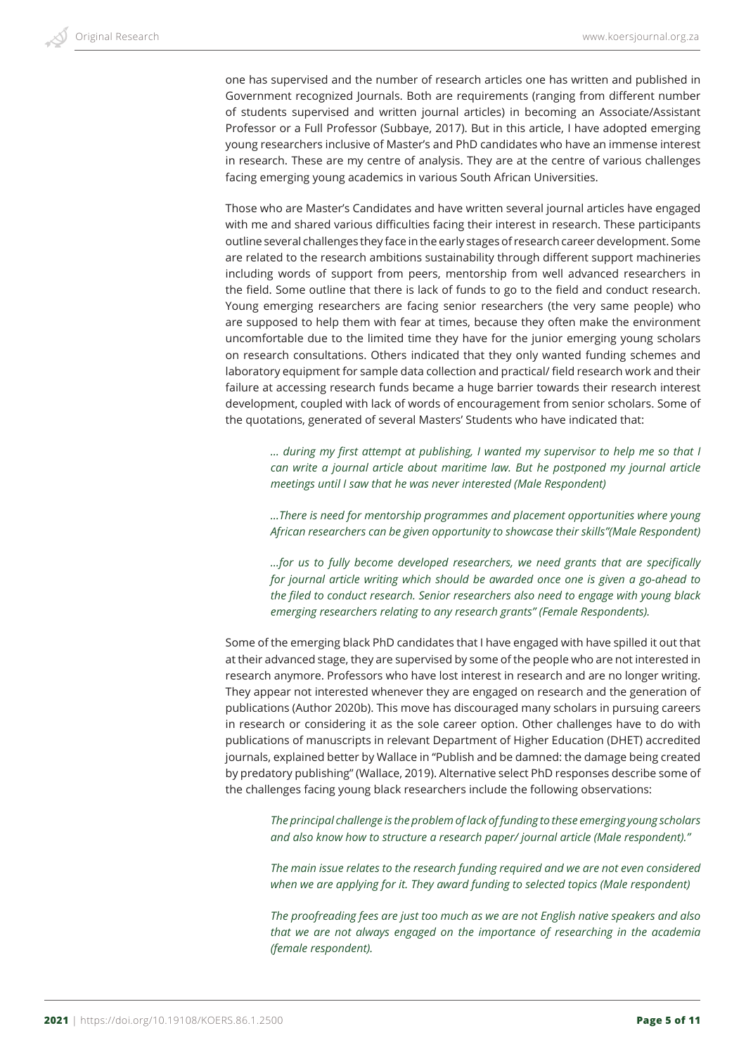one has supervised and the number of research articles one has written and published in Government recognized Journals. Both are requirements (ranging from different number of students supervised and written journal articles) in becoming an Associate/Assistant Professor or a Full Professor (Subbaye, 2017). But in this article, I have adopted emerging young researchers inclusive of Master's and PhD candidates who have an immense interest in research. These are my centre of analysis. They are at the centre of various challenges facing emerging young academics in various South African Universities.

Those who are Master's Candidates and have written several journal articles have engaged with me and shared various difficulties facing their interest in research. These participants outline several challenges they face in the early stages of research career development. Some are related to the research ambitions sustainability through different support machineries including words of support from peers, mentorship from well advanced researchers in the field. Some outline that there is lack of funds to go to the field and conduct research. Young emerging researchers are facing senior researchers (the very same people) who are supposed to help them with fear at times, because they often make the environment uncomfortable due to the limited time they have for the junior emerging young scholars on research consultations. Others indicated that they only wanted funding schemes and laboratory equipment for sample data collection and practical/ field research work and their failure at accessing research funds became a huge barrier towards their research interest development, coupled with lack of words of encouragement from senior scholars. Some of the quotations, generated of several Masters' Students who have indicated that:

*… during my first attempt at publishing, I wanted my supervisor to help me so that I can write a journal article about maritime law. But he postponed my journal article meetings until I saw that he was never interested (Male Respondent)*

*…There is need for mentorship programmes and placement opportunities where young African researchers can be given opportunity to showcase their skills"(Male Respondent)*

*…for us to fully become developed researchers, we need grants that are specifically for journal article writing which should be awarded once one is given a go-ahead to the filed to conduct research. Senior researchers also need to engage with young black emerging researchers relating to any research grants" (Female Respondents).*

Some of the emerging black PhD candidates that I have engaged with have spilled it out that at their advanced stage, they are supervised by some of the people who are not interested in research anymore. Professors who have lost interest in research and are no longer writing. They appear not interested whenever they are engaged on research and the generation of publications (Author 2020b). This move has discouraged many scholars in pursuing careers in research or considering it as the sole career option. Other challenges have to do with publications of manuscripts in relevant Department of Higher Education (DHET) accredited journals, explained better by Wallace in "Publish and be damned: the damage being created by predatory publishing" (Wallace, 2019). Alternative select PhD responses describe some of the challenges facing young black researchers include the following observations:

*The principal challenge is the problem of lack of funding to these emerging young scholars and also know how to structure a research paper/ journal article (Male respondent)."* 

*The main issue relates to the research funding required and we are not even considered when we are applying for it. They award funding to selected topics (Male respondent)*

*The proofreading fees are just too much as we are not English native speakers and also that we are not always engaged on the importance of researching in the academia (female respondent).*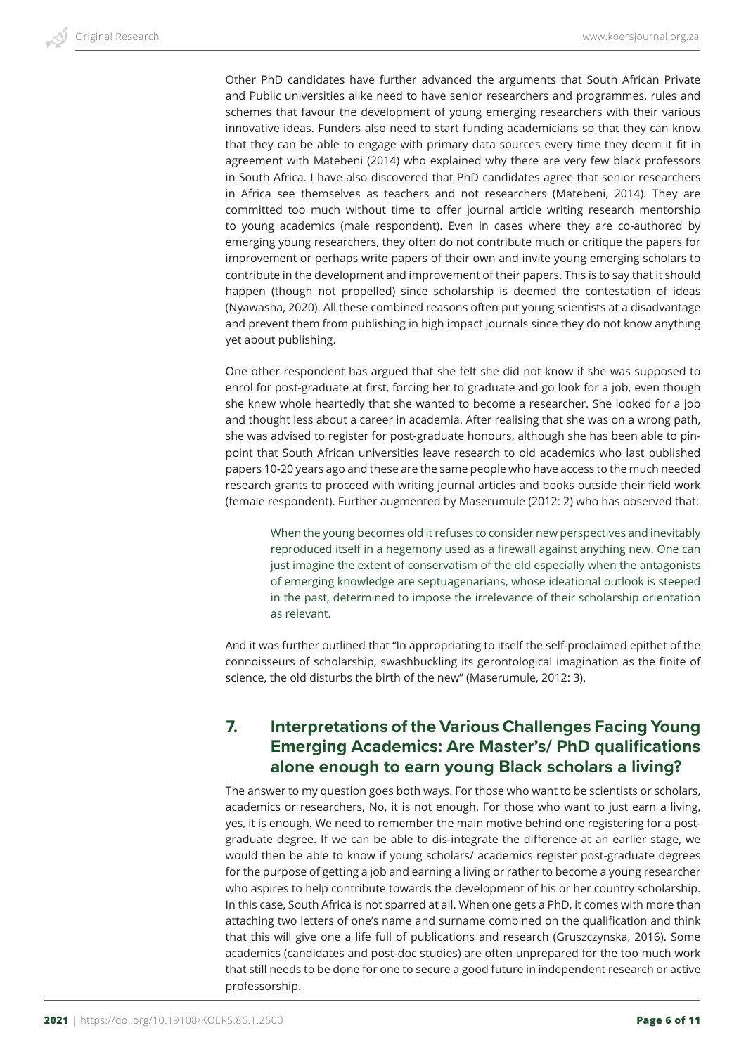Other PhD candidates have further advanced the arguments that South African Private and Public universities alike need to have senior researchers and programmes, rules and schemes that favour the development of young emerging researchers with their various innovative ideas. Funders also need to start funding academicians so that they can know that they can be able to engage with primary data sources every time they deem it fit in agreement with Matebeni (2014) who explained why there are very few black professors in South Africa. I have also discovered that PhD candidates agree that senior researchers in Africa see themselves as teachers and not researchers (Matebeni, 2014). They are committed too much without time to offer journal article writing research mentorship to young academics (male respondent). Even in cases where they are co-authored by emerging young researchers, they often do not contribute much or critique the papers for improvement or perhaps write papers of their own and invite young emerging scholars to contribute in the development and improvement of their papers. This is to say that it should happen (though not propelled) since scholarship is deemed the contestation of ideas (Nyawasha, 2020). All these combined reasons often put young scientists at a disadvantage and prevent them from publishing in high impact journals since they do not know anything yet about publishing.

One other respondent has argued that she felt she did not know if she was supposed to enrol for post-graduate at first, forcing her to graduate and go look for a job, even though she knew whole heartedly that she wanted to become a researcher. She looked for a job and thought less about a career in academia. After realising that she was on a wrong path, she was advised to register for post-graduate honours, although she has been able to pinpoint that South African universities leave research to old academics who last published papers 10-20 years ago and these are the same people who have access to the much needed research grants to proceed with writing journal articles and books outside their field work (female respondent). Further augmented by Maserumule (2012: 2) who has observed that:

When the young becomes old it refuses to consider new perspectives and inevitably reproduced itself in a hegemony used as a firewall against anything new. One can just imagine the extent of conservatism of the old especially when the antagonists of emerging knowledge are septuagenarians, whose ideational outlook is steeped in the past, determined to impose the irrelevance of their scholarship orientation as relevant.

And it was further outlined that "In appropriating to itself the self-proclaimed epithet of the connoisseurs of scholarship, swashbuckling its gerontological imagination as the finite of science, the old disturbs the birth of the new" (Maserumule, 2012: 3).

# **7. Interpretations of the Various Challenges Facing Young Emerging Academics: Are Master's/ PhD qualifications alone enough to earn young Black scholars a living?**

The answer to my question goes both ways. For those who want to be scientists or scholars, academics or researchers, No, it is not enough. For those who want to just earn a living, yes, it is enough. We need to remember the main motive behind one registering for a postgraduate degree. If we can be able to dis-integrate the difference at an earlier stage, we would then be able to know if young scholars/ academics register post-graduate degrees for the purpose of getting a job and earning a living or rather to become a young researcher who aspires to help contribute towards the development of his or her country scholarship. In this case, South Africa is not sparred at all. When one gets a PhD, it comes with more than attaching two letters of one's name and surname combined on the qualification and think that this will give one a life full of publications and research (Gruszczynska, 2016). Some academics (candidates and post-doc studies) are often unprepared for the too much work that still needs to be done for one to secure a good future in independent research or active professorship.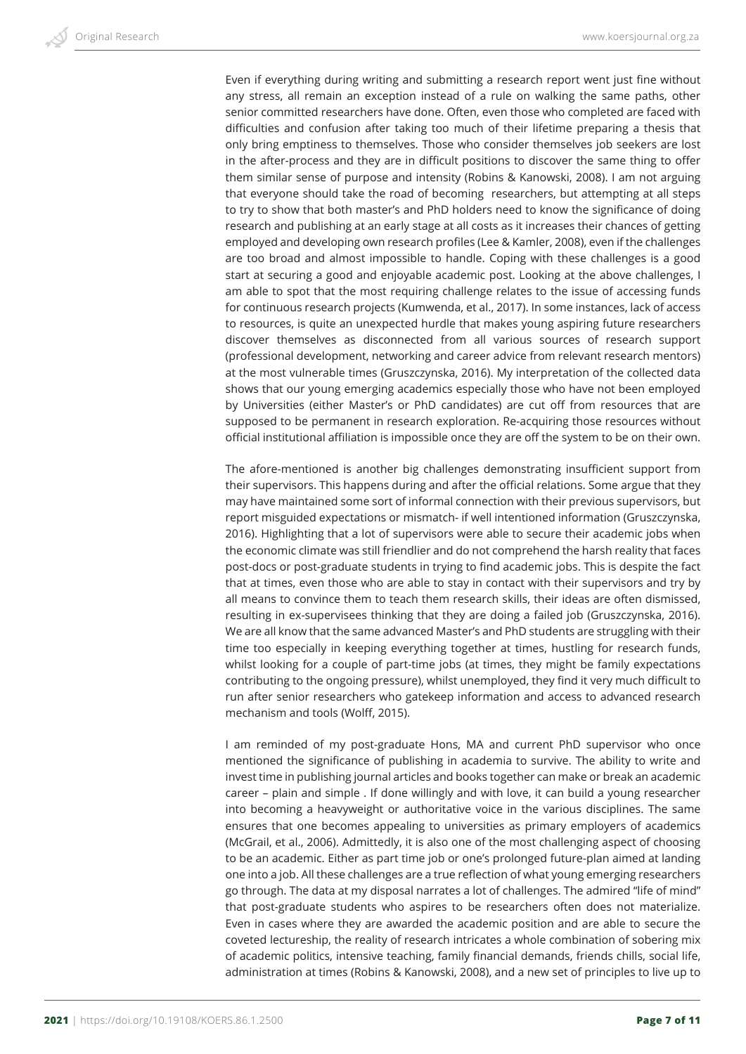Even if everything during writing and submitting a research report went just fine without any stress, all remain an exception instead of a rule on walking the same paths, other senior committed researchers have done. Often, even those who completed are faced with difficulties and confusion after taking too much of their lifetime preparing a thesis that only bring emptiness to themselves. Those who consider themselves job seekers are lost in the after-process and they are in difficult positions to discover the same thing to offer them similar sense of purpose and intensity (Robins & Kanowski, 2008). I am not arguing that everyone should take the road of becoming researchers, but attempting at all steps to try to show that both master's and PhD holders need to know the significance of doing research and publishing at an early stage at all costs as it increases their chances of getting employed and developing own research profiles (Lee & Kamler, 2008), even if the challenges are too broad and almost impossible to handle. Coping with these challenges is a good start at securing a good and enjoyable academic post. Looking at the above challenges, I am able to spot that the most requiring challenge relates to the issue of accessing funds for continuous research projects (Kumwenda, et al., 2017). In some instances, lack of access to resources, is quite an unexpected hurdle that makes young aspiring future researchers discover themselves as disconnected from all various sources of research support (professional development, networking and career advice from relevant research mentors) at the most vulnerable times (Gruszczynska, 2016). My interpretation of the collected data shows that our young emerging academics especially those who have not been employed by Universities (either Master's or PhD candidates) are cut off from resources that are supposed to be permanent in research exploration. Re-acquiring those resources without official institutional affiliation is impossible once they are off the system to be on their own.

The afore-mentioned is another big challenges demonstrating insufficient support from their supervisors. This happens during and after the official relations. Some argue that they may have maintained some sort of informal connection with their previous supervisors, but report misguided expectations or mismatch- if well intentioned information (Gruszczynska, 2016). Highlighting that a lot of supervisors were able to secure their academic jobs when the economic climate was still friendlier and do not comprehend the harsh reality that faces post-docs or post-graduate students in trying to find academic jobs. This is despite the fact that at times, even those who are able to stay in contact with their supervisors and try by all means to convince them to teach them research skills, their ideas are often dismissed, resulting in ex-supervisees thinking that they are doing a failed job (Gruszczynska, 2016). We are all know that the same advanced Master's and PhD students are struggling with their time too especially in keeping everything together at times, hustling for research funds, whilst looking for a couple of part-time jobs (at times, they might be family expectations contributing to the ongoing pressure), whilst unemployed, they find it very much difficult to run after senior researchers who gatekeep information and access to advanced research mechanism and tools (Wolff, 2015).

I am reminded of my post-graduate Hons, MA and current PhD supervisor who once mentioned the significance of publishing in academia to survive. The ability to write and invest time in publishing journal articles and books together can make or break an academic career – plain and simple . If done willingly and with love, it can build a young researcher into becoming a heavyweight or authoritative voice in the various disciplines. The same ensures that one becomes appealing to universities as primary employers of academics (McGrail, et al., 2006). Admittedly, it is also one of the most challenging aspect of choosing to be an academic. Either as part time job or one's prolonged future-plan aimed at landing one into a job. All these challenges are a true reflection of what young emerging researchers go through. The data at my disposal narrates a lot of challenges. The admired "life of mind" that post-graduate students who aspires to be researchers often does not materialize. Even in cases where they are awarded the academic position and are able to secure the coveted lectureship, the reality of research intricates a whole combination of sobering mix of academic politics, intensive teaching, family financial demands, friends chills, social life, administration at times (Robins & Kanowski, 2008), and a new set of principles to live up to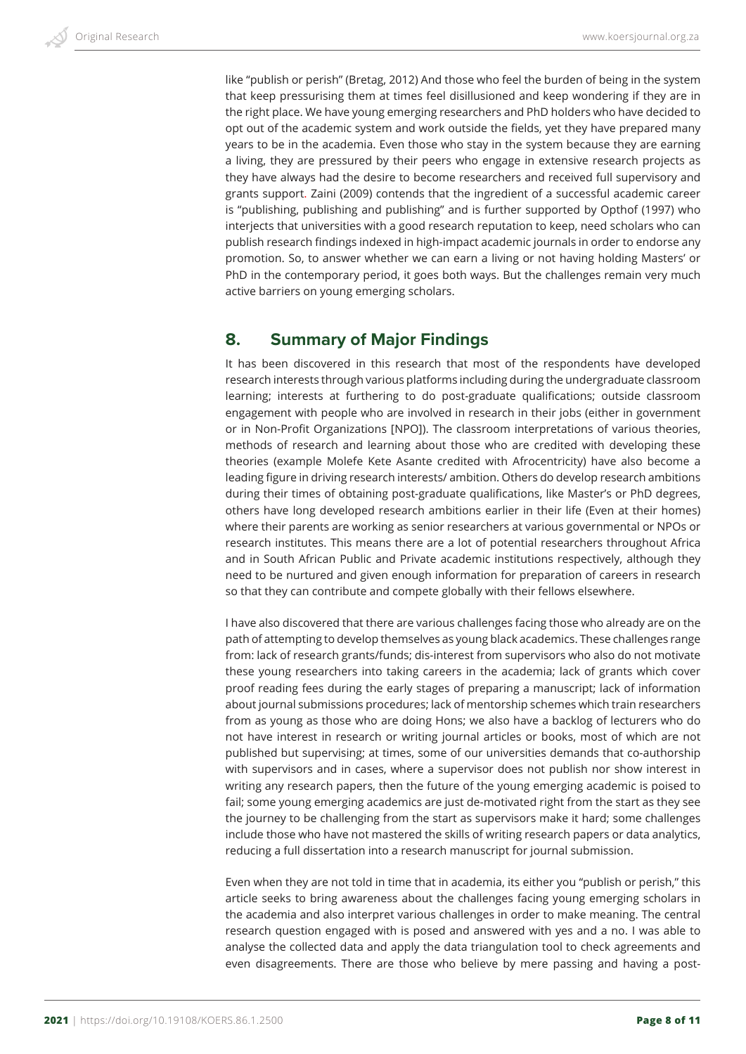like "publish or perish" (Bretag, 2012) And those who feel the burden of being in the system that keep pressurising them at times feel disillusioned and keep wondering if they are in the right place. We have young emerging researchers and PhD holders who have decided to opt out of the academic system and work outside the fields, yet they have prepared many years to be in the academia. Even those who stay in the system because they are earning a living, they are pressured by their peers who engage in extensive research projects as they have always had the desire to become researchers and received full supervisory and grants support. Zaini (2009) contends that the ingredient of a successful academic career is "publishing, publishing and publishing" and is further supported by Opthof (1997) who interjects that universities with a good research reputation to keep, need scholars who can publish research findings indexed in high-impact academic journals in order to endorse any promotion. So, to answer whether we can earn a living or not having holding Masters' or PhD in the contemporary period, it goes both ways. But the challenges remain very much active barriers on young emerging scholars.

## **8. Summary of Major Findings**

It has been discovered in this research that most of the respondents have developed research interests through various platforms including during the undergraduate classroom learning; interests at furthering to do post-graduate qualifications; outside classroom engagement with people who are involved in research in their jobs (either in government or in Non-Profit Organizations [NPO]). The classroom interpretations of various theories, methods of research and learning about those who are credited with developing these theories (example Molefe Kete Asante credited with Afrocentricity) have also become a leading figure in driving research interests/ ambition. Others do develop research ambitions during their times of obtaining post-graduate qualifications, like Master's or PhD degrees, others have long developed research ambitions earlier in their life (Even at their homes) where their parents are working as senior researchers at various governmental or NPOs or research institutes. This means there are a lot of potential researchers throughout Africa and in South African Public and Private academic institutions respectively, although they need to be nurtured and given enough information for preparation of careers in research so that they can contribute and compete globally with their fellows elsewhere.

I have also discovered that there are various challenges facing those who already are on the path of attempting to develop themselves as young black academics. These challenges range from: lack of research grants/funds; dis-interest from supervisors who also do not motivate these young researchers into taking careers in the academia; lack of grants which cover proof reading fees during the early stages of preparing a manuscript; lack of information about journal submissions procedures; lack of mentorship schemes which train researchers from as young as those who are doing Hons; we also have a backlog of lecturers who do not have interest in research or writing journal articles or books, most of which are not published but supervising; at times, some of our universities demands that co-authorship with supervisors and in cases, where a supervisor does not publish nor show interest in writing any research papers, then the future of the young emerging academic is poised to fail; some young emerging academics are just de-motivated right from the start as they see the journey to be challenging from the start as supervisors make it hard; some challenges include those who have not mastered the skills of writing research papers or data analytics, reducing a full dissertation into a research manuscript for journal submission.

Even when they are not told in time that in academia, its either you "publish or perish," this article seeks to bring awareness about the challenges facing young emerging scholars in the academia and also interpret various challenges in order to make meaning. The central research question engaged with is posed and answered with yes and a no. I was able to analyse the collected data and apply the data triangulation tool to check agreements and even disagreements. There are those who believe by mere passing and having a post-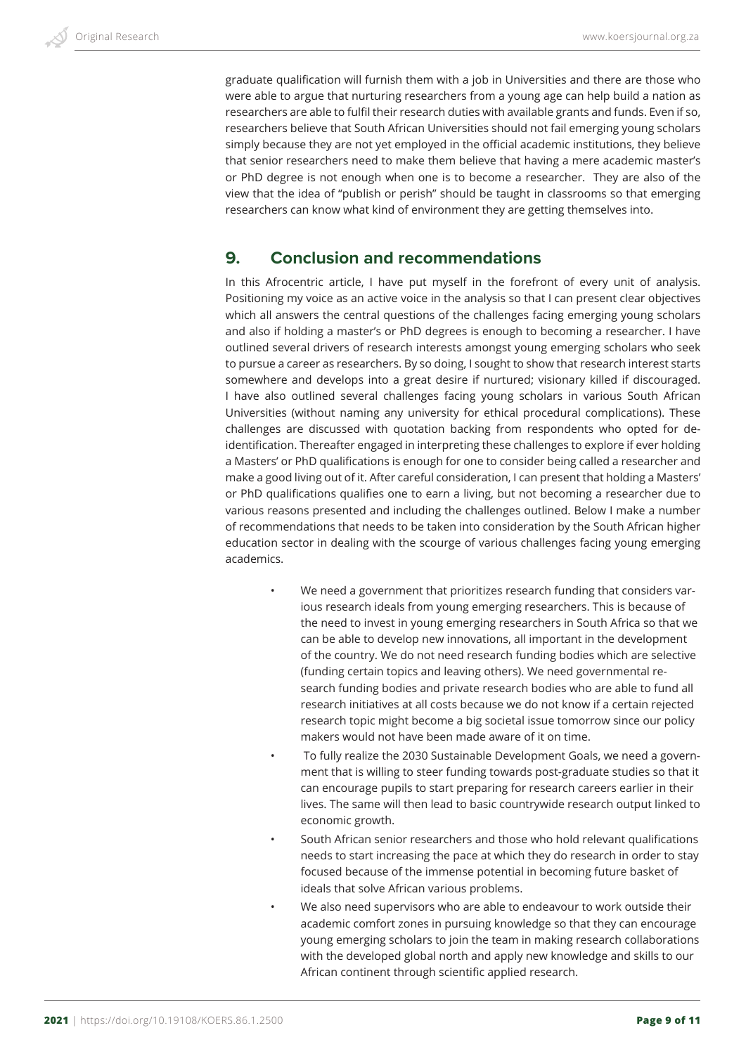graduate qualification will furnish them with a job in Universities and there are those who were able to argue that nurturing researchers from a young age can help build a nation as researchers are able to fulfil their research duties with available grants and funds. Even if so, researchers believe that South African Universities should not fail emerging young scholars simply because they are not yet employed in the official academic institutions, they believe that senior researchers need to make them believe that having a mere academic master's or PhD degree is not enough when one is to become a researcher. They are also of the view that the idea of "publish or perish" should be taught in classrooms so that emerging researchers can know what kind of environment they are getting themselves into.

# **9. Conclusion and recommendations**

In this Afrocentric article, I have put myself in the forefront of every unit of analysis. Positioning my voice as an active voice in the analysis so that I can present clear objectives which all answers the central questions of the challenges facing emerging young scholars and also if holding a master's or PhD degrees is enough to becoming a researcher. I have outlined several drivers of research interests amongst young emerging scholars who seek to pursue a career as researchers. By so doing, I sought to show that research interest starts somewhere and develops into a great desire if nurtured; visionary killed if discouraged. I have also outlined several challenges facing young scholars in various South African Universities (without naming any university for ethical procedural complications). These challenges are discussed with quotation backing from respondents who opted for deidentification. Thereafter engaged in interpreting these challenges to explore if ever holding a Masters' or PhD qualifications is enough for one to consider being called a researcher and make a good living out of it. After careful consideration, I can present that holding a Masters' or PhD qualifications qualifies one to earn a living, but not becoming a researcher due to various reasons presented and including the challenges outlined. Below I make a number of recommendations that needs to be taken into consideration by the South African higher education sector in dealing with the scourge of various challenges facing young emerging academics.

- We need a government that prioritizes research funding that considers various research ideals from young emerging researchers. This is because of the need to invest in young emerging researchers in South Africa so that we can be able to develop new innovations, all important in the development of the country. We do not need research funding bodies which are selective (funding certain topics and leaving others). We need governmental research funding bodies and private research bodies who are able to fund all research initiatives at all costs because we do not know if a certain rejected research topic might become a big societal issue tomorrow since our policy makers would not have been made aware of it on time.
- To fully realize the 2030 Sustainable Development Goals, we need a government that is willing to steer funding towards post-graduate studies so that it can encourage pupils to start preparing for research careers earlier in their lives. The same will then lead to basic countrywide research output linked to economic growth.
- South African senior researchers and those who hold relevant qualifications needs to start increasing the pace at which they do research in order to stay focused because of the immense potential in becoming future basket of ideals that solve African various problems.
- We also need supervisors who are able to endeavour to work outside their academic comfort zones in pursuing knowledge so that they can encourage young emerging scholars to join the team in making research collaborations with the developed global north and apply new knowledge and skills to our African continent through scientific applied research.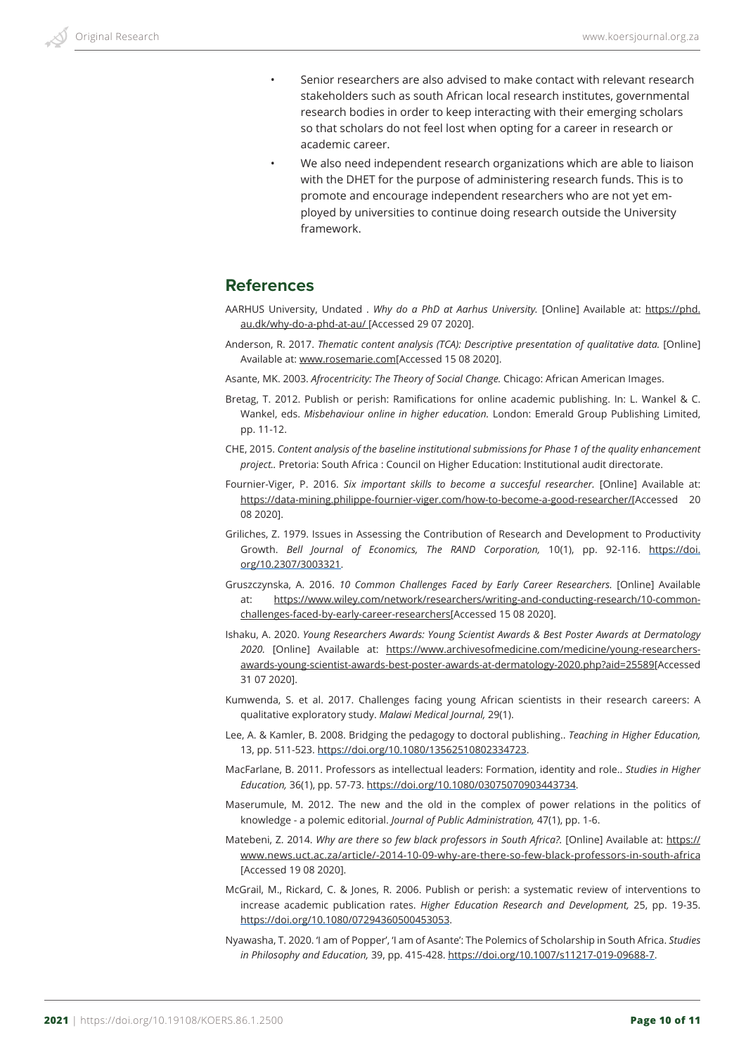- Senior researchers are also advised to make contact with relevant research stakeholders such as south African local research institutes, governmental research bodies in order to keep interacting with their emerging scholars so that scholars do not feel lost when opting for a career in research or academic career.
- We also need independent research organizations which are able to liaison with the DHET for the purpose of administering research funds. This is to promote and encourage independent researchers who are not yet employed by universities to continue doing research outside the University framework.

## **References**

- AARHUS University, Undated . *Why do a PhD at Aarhus University.* [Online] Available at: https://phd. au.dk/why-do-a-phd-at-au/ [Accessed 29 07 2020].
- Anderson, R. 2017. *Thematic content analysis (TCA): Descriptive presentation of qualitative data.* [Online] Available at: www.rosemarie.com[Accessed 15 08 2020].
- Asante, MK. 2003. *Afrocentricity: The Theory of Social Change.* Chicago: African American Images.
- Bretag, T. 2012. Publish or perish: Ramifications for online academic publishing. In: L. Wankel & C. Wankel, eds. *Misbehaviour online in higher education.* London: Emerald Group Publishing Limited, pp. 11-12.
- CHE, 2015. *Content analysis of the baseline institutional submissions for Phase 1 of the quality enhancement project..* Pretoria: South Africa : Council on Higher Education: Institutional audit directorate.
- Fournier-Viger, P. 2016. *Six important skills to become a succesful researcher*. [Online] Available at: https://data-mining.philippe-fournier-viger.com/how-to-become-a-good-researcher/[Accessed 20 08 2020].
- Griliches, Z. 1979. Issues in Assessing the Contribution of Research and Development to Productivity Growth. *Bell Journal of Economics, The RAND Corporation,* 10(1), pp. 92-116. https://doi. org/10.2307/3003321.
- Gruszczynska, A. 2016. *10 Common Challenges Faced by Early Career Researchers.* [Online] Available at: https://www.wiley.com/network/researchers/writing-and-conducting-research/10-commonchallenges-faced-by-early-career-researchers[Accessed 15 08 2020].
- Ishaku, A. 2020. *Young Researchers Awards: Young Scientist Awards & Best Poster Awards at Dermatology 2020.* [Online] Available at: https://www.archivesofmedicine.com/medicine/young-researchersawards-young-scientist-awards-best-poster-awards-at-dermatology-2020.php?aid=25589[Accessed 31 07 2020].
- Kumwenda, S. et al. 2017. Challenges facing young African scientists in their research careers: A qualitative exploratory study. *Malawi Medical Journal,* 29(1).
- Lee, A. & Kamler, B. 2008. Bridging the pedagogy to doctoral publishing.. *Teaching in Higher Education,*  13, pp. 511-523. https://doi.org/10.1080/13562510802334723.
- MacFarlane, B. 2011. Professors as intellectual leaders: Formation, identity and role.. *Studies in Higher Education,* 36(1), pp. 57-73. https://doi.org/10.1080/03075070903443734.
- Maserumule, M. 2012. The new and the old in the complex of power relations in the politics of knowledge - a polemic editorial. *Journal of Public Administration,* 47(1), pp. 1-6.
- Matebeni, Z. 2014. Why are there so few black professors in South Africa?. [Online] Available at: https:// www.news.uct.ac.za/article/-2014-10-09-why-are-there-so-few-black-professors-in-south-africa [Accessed 19 08 2020].
- McGrail, M., Rickard, C. & Jones, R. 2006. Publish or perish: a systematic review of interventions to increase academic publication rates. *Higher Education Research and Development,* 25, pp. 19-35. https://doi.org/10.1080/07294360500453053.
- Nyawasha, T. 2020. 'I am of Popper', 'I am of Asante': The Polemics of Scholarship in South Africa. *Studies in Philosophy and Education,* 39, pp. 415-428. https://doi.org/10.1007/s11217-019-09688-7.